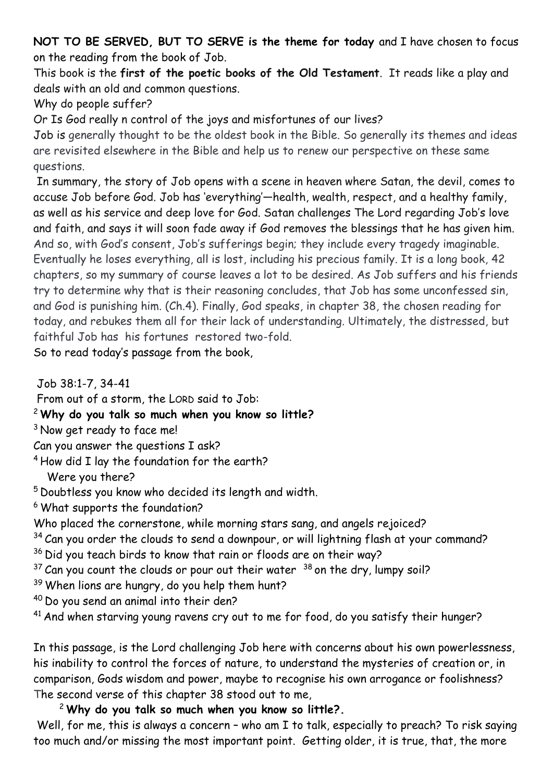**NOT TO BE SERVED, BUT TO SERVE is the theme for today** and I have chosen to focus on the reading from the book of Job.

This book is the **first of the poetic books of the Old Testament**. It reads like a play and deals with an old and common questions.

Why do people suffer?

Or Is God really n control of the joys and misfortunes of our lives?

Job is generally thought to be the oldest book in the Bible. So generally its themes and ideas are revisited elsewhere in the Bible and help us to renew our perspective on these same questions.

In summary, the story of Job opens with a scene in heaven where Satan, the devil, comes to accuse Job before God. Job has 'everything'—health, wealth, respect, and a healthy family, as well as his service and deep love for God. Satan challenges The Lord regarding Job's love and faith, and says it will soon fade away if God removes the blessings that he has given him. And so, with God's consent, Job's sufferings begin; they include every tragedy imaginable. Eventually he loses everything, all is lost, including his precious family. It is a long book, 42 chapters, so my summary of course leaves a lot to be desired. As Job suffers and his friends try to determine why that is their reasoning concludes, that Job has some unconfessed sin, and God is punishing him. (Ch.4). Finally, God speaks, in chapter 38, the chosen reading for today, and rebukes them all for their lack of understanding. Ultimately, the distressed, but faithful Job has his fortunes restored two-fold.

So to read today's passage from the book,

Job 38:1-7, 34-41

From out of a storm, the LORD said to Job:

<sup>2</sup> **Why do you talk so much when you know so little?**

- <sup>3</sup> Now get ready to face me!
- Can you answer the questions I ask?

<sup>4</sup> How did I lay the foundation for the earth?

Were you there?

<sup>5</sup> Doubtless you know who decided its length and width.

<sup>6</sup> What supports the foundation?

Who placed the cornerstone, while morning stars sang, and angels rejoiced?

- $34$  Can you order the clouds to send a downpour, or will lightning flash at your command?
- <sup>36</sup> Did you teach birds to know that rain or floods are on their way?
- $37$  Can you count the clouds or pour out their water  $38$  on the dry, lumpy soil?
- <sup>39</sup> When lions are hungry, do you help them hunt?
- <sup>40</sup> Do you send an animal into their den?
- $41$  And when starving young ravens cry out to me for food, do you satisfy their hunger?

In this passage, is the Lord challenging Job here with concerns about his own powerlessness, his inability to control the forces of nature, to understand the mysteries of creation or, in comparison, Gods wisdom and power, maybe to recognise his own arrogance or foolishness? The second verse of this chapter 38 stood out to me,

<sup>2</sup> **Why do you talk so much when you know so little?.**

Well, for me, this is always a concern - who am I to talk, especially to preach? To risk saying too much and/or missing the most important point. Getting older, it is true, that, the more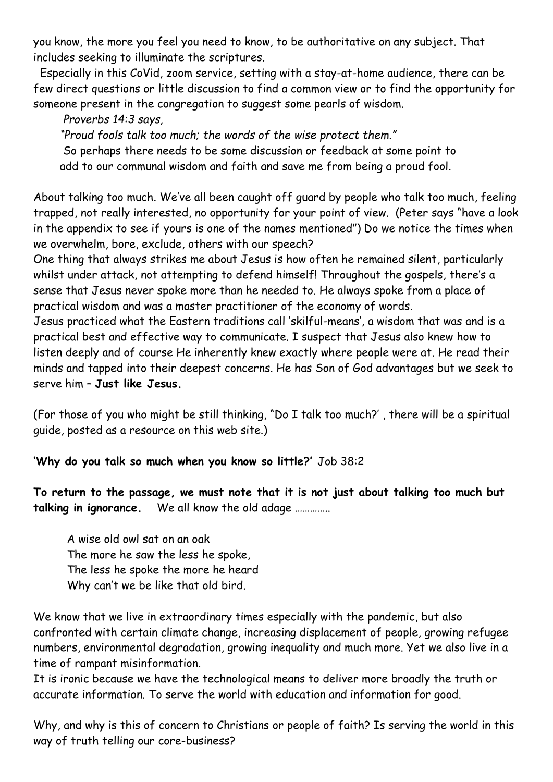you know, the more you feel you need to know, to be authoritative on any subject. That includes seeking to illuminate the scriptures.

 Especially in this CoVid, zoom service, setting with a stay-at-home audience, there can be few direct questions or little discussion to find a common view or to find the opportunity for someone present in the congregation to suggest some pearls of wisdom.

*Proverbs 14:3 says,*

*"Proud fools talk too much; the words of the wise protect them."* 

So perhaps there needs to be some discussion or feedback at some point to add to our communal wisdom and faith and save me from being a proud fool.

About talking too much. We've all been caught off guard by people who talk too much, feeling trapped, not really interested, no opportunity for your point of view. (Peter says "have a look in the appendix to see if yours is one of the names mentioned") Do we notice the times when we overwhelm, bore, exclude, others with our speech?

One thing that always strikes me about Jesus is how often he remained silent, particularly whilst under attack, not attempting to defend himself! Throughout the gospels, there's a sense that Jesus never spoke more than he needed to. He always spoke from a place of practical wisdom and was a master practitioner of the economy of words.

Jesus practiced what the Eastern traditions call 'skilful-means', a wisdom that was and is a practical best and effective way to communicate. I suspect that Jesus also knew how to listen deeply and of course He inherently knew exactly where people were at. He read their minds and tapped into their deepest concerns. He has Son of God advantages but we seek to serve him – **Just like Jesus.**

(For those of you who might be still thinking, "Do I talk too much?' , there will be a spiritual guide, posted as a resource on this web site.)

**'Why do you talk so much when you know so little?'** Job 38:2

**To return to the passage, we must note that it is not just about talking too much but talking in ignorance.** We all know the old adage …………..

A wise old owl sat on an oak The more he saw the less he spoke, The less he spoke the more he heard Why can't we be like that old bird.

We know that we live in extraordinary times especially with the pandemic, but also confronted with certain climate change, increasing displacement of people, growing refugee numbers, environmental degradation, growing inequality and much more. Yet we also live in a time of rampant misinformation.

It is ironic because we have the technological means to deliver more broadly the truth or accurate information. To serve the world with education and information for good.

Why, and why is this of concern to Christians or people of faith? Is serving the world in this way of truth telling our core-business?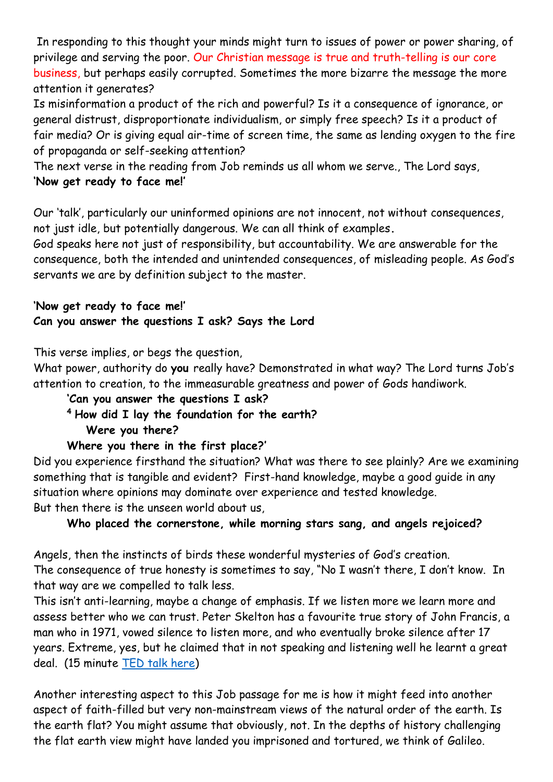In responding to this thought your minds might turn to issues of power or power sharing, of privilege and serving the poor. Our Christian message is true and truth-telling is our core business, but perhaps easily corrupted. Sometimes the more bizarre the message the more attention it generates?

Is misinformation a product of the rich and powerful? Is it a consequence of ignorance, or general distrust, disproportionate individualism, or simply free speech? Is it a product of fair media? Or is giving equal air-time of screen time, the same as lending oxygen to the fire of propaganda or self-seeking attention?

The next verse in the reading from Job reminds us all whom we serve., The Lord says, **'Now get ready to face me!'**

Our 'talk', particularly our uninformed opinions are not innocent, not without consequences, not just idle, but potentially dangerous. We can all think of examples**.**

God speaks here not just of responsibility, but accountability. We are answerable for the consequence, both the intended and unintended consequences, of misleading people. As God's servants we are by definition subject to the master.

**'Now get ready to face me!' Can you answer the questions I ask? Says the Lord**

This verse implies, or begs the question,

What power, authority do **you** really have? Demonstrated in what way? The Lord turns Job's attention to creation, to the immeasurable greatness and power of Gods handiwork.

## **'Can you answer the questions I ask?**

**<sup>4</sup> How did I lay the foundation for the earth? Were you there?**

## **Where you there in the first place?'**

Did you experience firsthand the situation? What was there to see plainly? Are we examining something that is tangible and evident? First-hand knowledge, maybe a good guide in any situation where opinions may dominate over experience and tested knowledge. But then there is the unseen world about us,

## **Who placed the cornerstone, while morning stars sang, and angels rejoiced?**

Angels, then the instincts of birds these wonderful mysteries of God's creation. The consequence of true honesty is sometimes to say, "No I wasn't there, I don't know. In that way are we compelled to talk less.

This isn't anti-learning, maybe a change of emphasis. If we listen more we learn more and assess better who we can trust. Peter Skelton has a favourite true story of John Francis, a man who in 1971, vowed silence to listen more, and who eventually broke silence after 17 years. Extreme, yes, but he claimed that in not speaking and listening well he learnt a great deal. (15 minute [TED talk here\)](https://www.ted.com/talks/john_francis_walk_the_earth_my_17_year_vow_of_silence)

Another interesting aspect to this Job passage for me is how it might feed into another aspect of faith-filled but very non-mainstream views of the natural order of the earth. Is the earth flat? You might assume that obviously, not. In the depths of history challenging the flat earth view might have landed you imprisoned and tortured, we think of Galileo.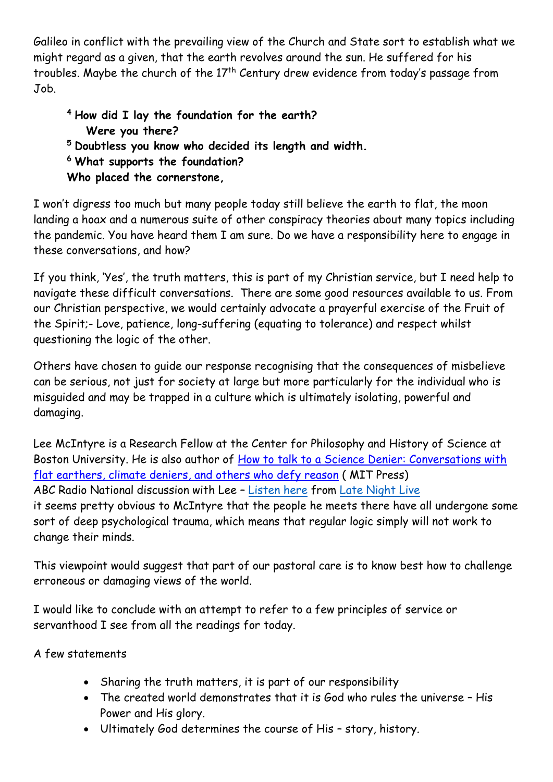Galileo in conflict with the prevailing view of the Church and State sort to establish what we might regard as a given, that the earth revolves around the sun. He suffered for his troubles. Maybe the church of the  $17<sup>th</sup>$  Century drew evidence from today's passage from Job.

**<sup>4</sup> How did I lay the foundation for the earth? Were you there? <sup>5</sup> Doubtless you know who decided its length and width. <sup>6</sup> What supports the foundation? Who placed the cornerstone,**

I won't digress too much but many people today still believe the earth to flat, the moon landing a hoax and a numerous suite of other conspiracy theories about many topics including the pandemic. You have heard them I am sure. Do we have a responsibility here to engage in these conversations, and how?

If you think, 'Yes', the truth matters, this is part of my Christian service, but I need help to navigate these difficult conversations. There are some good resources available to us. From our Christian perspective, we would certainly advocate a prayerful exercise of the Fruit of the Spirit;- Love, patience, long-suffering (equating to tolerance) and respect whilst questioning the logic of the other.

Others have chosen to guide our response recognising that the consequences of misbelieve can be serious, not just for society at large but more particularly for the individual who is misguided and may be trapped in a culture which is ultimately isolating, powerful and damaging.

Lee McIntyre is a Research Fellow at the Center for Philosophy and History of Science at Boston University. He is also author of How to talk to a Science Denier: Conversations with [flat earthers, climate deniers, and others who defy](https://mitpress.mit.edu/books/how-talk-science-denier) reason ( MIT Press) ABC Radio National discussion with Lee – [Listen here](https://eden.uca.org.au/media/11198/how-to-talk-to-science-deniers.mp3) from [Late Night Live](https://www.abc.net.au/radionational/programs/latenightlive/science-denial_-lee-mcintyre/13530694) it seems pretty obvious to McIntyre that the people he meets there have all undergone some sort of deep psychological trauma, which means that regular logic simply will not work to change their minds.

This viewpoint would suggest that part of our pastoral care is to know best how to challenge erroneous or damaging views of the world.

I would like to conclude with an attempt to refer to a few principles of service or servanthood I see from all the readings for today.

A few statements

- Sharing the truth matters, it is part of our responsibility
- The created world demonstrates that it is God who rules the universe His Power and His glory.
- Ultimately God determines the course of His story, history.